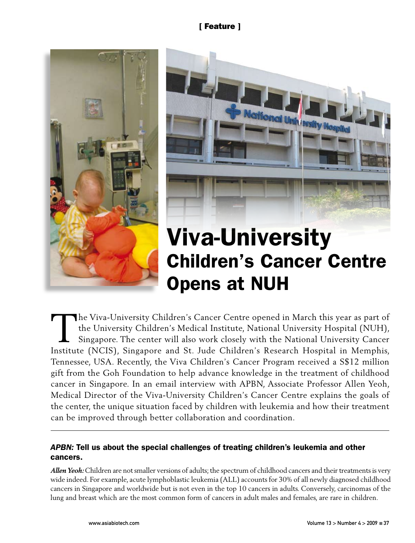



# Viva-University Children's Cancer Centre Opens at NUH

The Viva-University Children's Cancer Centre opened in March this year as part of the University Children's Medical Institute, National University Hospital (NUH), Singapore. The center will also work closely with the National University Cancer Institute (NCIS), Singapore and St. Jude Children's Research Hospital in Memphis, Tennessee, USA. Recently, the Viva Children's Cancer Program received a S\$12 million gift from the Goh Foundation to help advance knowledge in the treatment of childhood cancer in Singapore. In an email interview with APBN, Associate Professor Allen Yeoh, Medical Director of the Viva-University Children's Cancer Centre explains the goals of the center, the unique situation faced by children with leukemia and how their treatment can be improved through better collaboration and coordination.

# *APBN:* Tell us about the special challenges of treating children's leukemia and other cancers.

*Allen Yeoh:* Children are not smaller versions of adults; the spectrum of childhood cancers and their treatments is very wide indeed. For example, acute lymphoblastic leukemia (ALL) accounts for 30% of all newly diagnosed childhood cancers in Singapore and worldwide but is not even in the top 10 cancers in adults. Conversely, carcinomas of the lung and breast which are the most common form of cancers in adult males and females, are rare in children.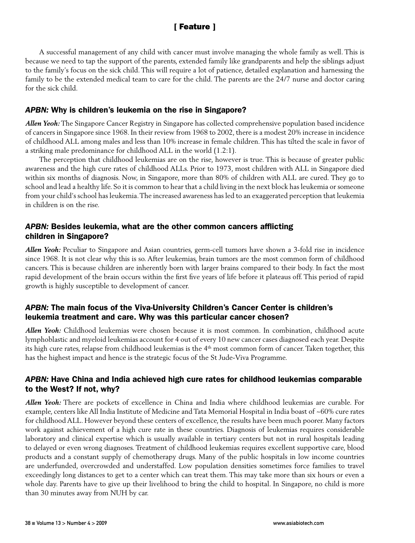# [ Feature ]

A successful management of any child with cancer must involve managing the whole family as well. This is because we need to tap the support of the parents, extended family like grandparents and help the siblings adjust to the family's focus on the sick child. This will require a lot of patience, detailed explanation and harnessing the family to be the extended medical team to care for the child. The parents are the 24/7 nurse and doctor caring for the sick child.

#### *APBN:* Why is children's leukemia on the rise in Singapore?

*Allen Yeoh:* The Singapore Cancer Registry in Singapore has collected comprehensive population based incidence of cancers in Singapore since 1968. In their review from 1968 to 2002, there is a modest 20% increase in incidence of childhood ALL among males and less than 10% increase in female children. This has tilted the scale in favor of a striking male predominance for childhood ALL in the world (1.2:1).

The perception that childhood leukemias are on the rise, however is true. This is because of greater public awareness and the high cure rates of childhood ALLs. Prior to 1973, most children with ALL in Singapore died within six months of diagnosis. Now, in Singapore, more than 80% of children with ALL are cured. They go to school and lead a healthy life. So it is common to hear that a child living in the next block has leukemia or someone from your child's school has leukemia. The increased awareness has led to an exaggerated perception that leukemia in children is on the rise.

## *APBN:* Besides leukemia, what are the other common cancers afflicting children in Singapore?

*Allen Yeoh:* Peculiar to Singapore and Asian countries, germ-cell tumors have shown a 3-fold rise in incidence since 1968. It is not clear why this is so. After leukemias, brain tumors are the most common form of childhood cancers. This is because children are inherently born with larger brains compared to their body. In fact the most rapid development of the brain occurs within the first five years of life before it plateaus off. This period of rapid growth is highly susceptible to development of cancer.

# *APBN:* The main focus of the Viva-University Children's Cancer Center is children's leukemia treatment and care. Why was this particular cancer chosen?

*Allen Yeoh:* Childhood leukemias were chosen because it is most common. In combination, childhood acute lymphoblastic and myeloid leukemias account for 4 out of every 10 new cancer cases diagnosed each year. Despite its high cure rates, relapse from childhood leukemias is the 4<sup>th</sup> most common form of cancer. Taken together, this has the highest impact and hence is the strategic focus of the St Jude-Viva Programme.

# *APBN:* Have China and India achieved high cure rates for childhood leukemias comparable to the West? If not, why?

*Allen Yeoh:* There are pockets of excellence in China and India where childhood leukemias are curable. For example, centers like All India Institute of Medicine and Tata Memorial Hospital in India boast of ~60% cure rates for childhood ALL. However beyond these centers of excellence, the results have been much poorer. Many factors work against achievement of a high cure rate in these countries. Diagnosis of leukemias requires considerable laboratory and clinical expertise which is usually available in tertiary centers but not in rural hospitals leading to delayed or even wrong diagnoses. Treatment of childhood leukemias requires excellent supportive care, blood products and a constant supply of chemotherapy drugs. Many of the public hospitals in low income countries are underfunded, overcrowded and understaffed. Low population densities sometimes force families to travel exceedingly long distances to get to a center which can treat them. This may take more than six hours or even a whole day. Parents have to give up their livelihood to bring the child to hospital. In Singapore, no child is more than 30 minutes away from NUH by car.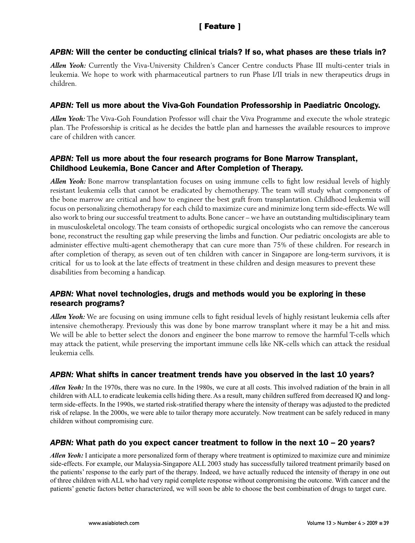# [ Feature ]

## *APBN:* Will the center be conducting clinical trials? If so, what phases are these trials in?

*Allen Yeoh:* Currently the Viva-University Children's Cancer Centre conducts Phase III multi-center trials in leukemia. We hope to work with pharmaceutical partners to run Phase I/II trials in new therapeutics drugs in children.

#### *APBN:* Tell us more about the Viva-Goh Foundation Professorship in Paediatric Oncology.

*Allen Yeoh:* The Viva-Goh Foundation Professor will chair the Viva Programme and execute the whole strategic plan. The Professorship is critical as he decides the battle plan and harnesses the available resources to improve care of children with cancer.

## *APBN:* Tell us more about the four research programs for Bone Marrow Transplant, Childhood Leukemia, Bone Cancer and After Completion of Therapy.

*Allen Yeoh:* Bone marrow transplantation focuses on using immune cells to fight low residual levels of highly resistant leukemia cells that cannot be eradicated by chemotherapy. The team will study what components of the bone marrow are critical and how to engineer the best graft from transplantation. Childhood leukemia will focus on personalizing chemotherapy for each child to maximize cure and minimize long term side-effects. We will also work to bring our successful treatment to adults. Bone cancer – we have an outstanding multidisciplinary team in musculoskeletal oncology. The team consists of orthopedic surgical oncologists who can remove the cancerous bone, reconstruct the resulting gap while preserving the limbs and function. Our pediatric oncologists are able to administer effective multi-agent chemotherapy that can cure more than 75% of these children. For research in after completion of therapy, as seven out of ten children with cancer in Singapore are long-term survivors, it is critical for us to look at the late effects of treatment in these children and design measures to prevent these disabilities from becoming a handicap.

# *APBN:* What novel technologies, drugs and methods would you be exploring in these research programs?

*Allen Yeoh:* We are focusing on using immune cells to fight residual levels of highly resistant leukemia cells after intensive chemotherapy. Previously this was done by bone marrow transplant where it may be a hit and miss. We will be able to better select the donors and engineer the bone marrow to remove the harmful T-cells which may attack the patient, while preserving the important immune cells like NK-cells which can attack the residual leukemia cells.

#### *APBN:* What shifts in cancer treatment trends have you observed in the last 10 years?

*Allen Yeoh:* In the 1970s, there was no cure. In the 1980s, we cure at all costs. This involved radiation of the brain in all children with ALL to eradicate leukemia cells hiding there. As a result, many children suffered from decreased IQ and longterm side-effects. In the 1990s, we started risk-stratified therapy where the intensity of therapy was adjusted to the predicted risk of relapse. In the 2000s, we were able to tailor therapy more accurately. Now treatment can be safely reduced in many children without compromising cure.

#### *APBN:* What path do you expect cancer treatment to follow in the next 10 – 20 years?

*Allen Yeoh:* I anticipate a more personalized form of therapy where treatment is optimized to maximize cure and minimize side-effects. For example, our Malaysia-Singapore ALL 2003 study has successfully tailored treatment primarily based on the patients' response to the early part of the therapy. Indeed, we have actually reduced the intensity of therapy in one out of three children with ALL who had very rapid complete response without compromising the outcome. With cancer and the patients' genetic factors better characterized, we will soon be able to choose the best combination of drugs to target cure.